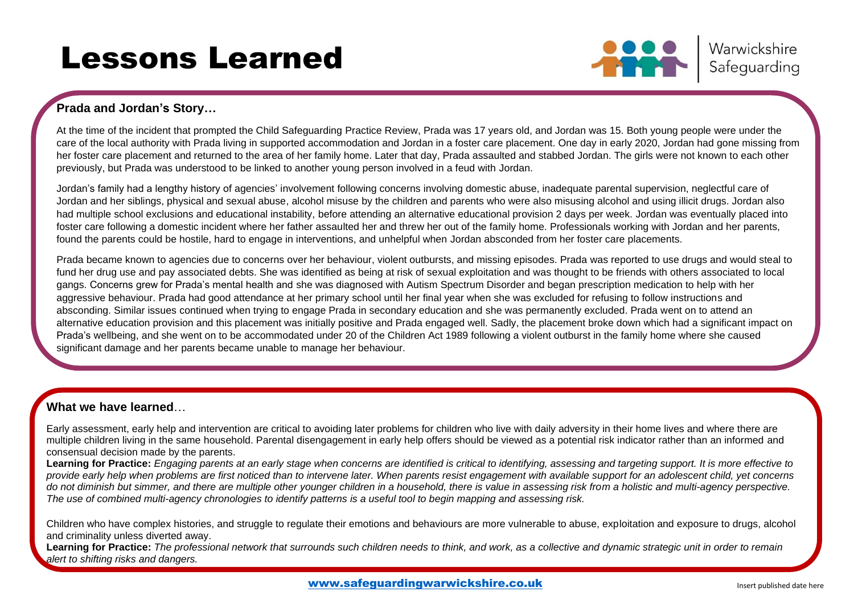# Lessons Learned



Warwickshire Safeguarding

# **Prada and Jordan's Story…**

At the time of the incident that prompted the Child Safeguarding Practice Review, Prada was 17 years old, and Jordan was 15. Both young people were under the care of the local authority with Prada living in supported accommodation and Jordan in a foster care placement. One day in early 2020, Jordan had gone missing from her foster care placement and returned to the area of her family home. Later that day, Prada assaulted and stabbed Jordan. The girls were not known to each other previously, but Prada was understood to be linked to another young person involved in a feud with Jordan.

Jordan's family had a lengthy history of agencies' involvement following concerns involving domestic abuse, inadequate parental supervision, neglectful care of Jordan and her siblings, physical and sexual abuse, alcohol misuse by the children and parents who were also misusing alcohol and using illicit drugs. Jordan also had multiple school exclusions and educational instability, before attending an alternative educational provision 2 days per week. Jordan was eventually placed into foster care following a domestic incident where her father assaulted her and threw her out of the family home. Professionals working with Jordan and her parents, found the parents could be hostile, hard to engage in interventions, and unhelpful when Jordan absconded from her foster care placements.

Prada became known to agencies due to concerns over her behaviour, violent outbursts, and missing episodes. Prada was reported to use drugs and would steal to fund her drug use and pay associated debts. She was identified as being at risk of sexual exploitation and was thought to be friends with others associated to local gangs. Concerns grew for Prada's mental health and she was diagnosed with Autism Spectrum Disorder and began prescription medication to help with her aggressive behaviour. Prada had good attendance at her primary school until her final year when she was excluded for refusing to follow instructions and absconding. Similar issues continued when trying to engage Prada in secondary education and she was permanently excluded. Prada went on to attend an alternative education provision and this placement was initially positive and Prada engaged well. Sadly, the placement broke down which had a significant impact on Prada's wellbeing, and she went on to be accommodated under 20 of the Children Act 1989 following a violent outburst in the family home where she caused significant damage and her parents became unable to manage her behaviour.

## **What we have learned**…

Early assessment, early help and intervention are critical to avoiding later problems for children who live with daily adversity in their home lives and where there are multiple children living in the same household. Parental disengagement in early help offers should be viewed as a potential risk indicator rather than an informed and consensual decision made by the parents.

**Learning for Practice:** *Engaging parents at an early stage when concerns are identified is critical to identifying, assessing and targeting support. It is more effective to provide early help when problems are first noticed than to intervene later. When parents resist engagement with available support for an adolescent child, yet concerns do not diminish but simmer, and there are multiple other younger children in a household, there is value in assessing risk from a holistic and multi-agency perspective. The use of combined multi-agency chronologies to identify patterns is a useful tool to begin mapping and assessing risk.*

Children who have complex histories, and struggle to regulate their emotions and behaviours are more vulnerable to abuse, exploitation and exposure to drugs, alcohol and criminality unless diverted away.

**Learning for Practice:** *The professional network that surrounds such children needs to think, and work, as a collective and dynamic strategic unit in order to remain alert to shifting risks and dangers.*